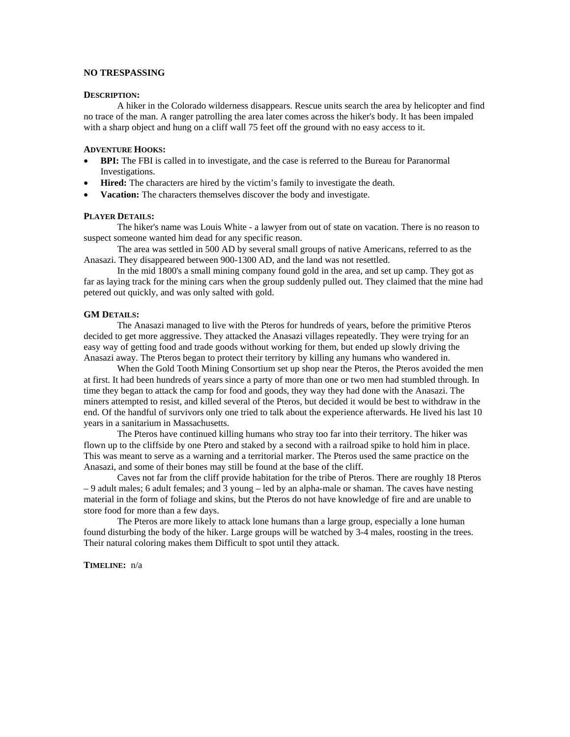## **NO TRESPASSING**

#### **DESCRIPTION:**

A hiker in the Colorado wilderness disappears. Rescue units search the area by helicopter and find no trace of the man. A ranger patrolling the area later comes across the hiker's body. It has been impaled with a sharp object and hung on a cliff wall 75 feet off the ground with no easy access to it.

### **ADVENTURE HOOKS:**

- **BPI:** The FBI is called in to investigate, and the case is referred to the Bureau for Paranormal Investigations.
- **Hired:** The characters are hired by the victim's family to investigate the death.
- **Vacation:** The characters themselves discover the body and investigate.

#### **PLAYER DETAILS:**

The hiker's name was Louis White - a lawyer from out of state on vacation. There is no reason to suspect someone wanted him dead for any specific reason.

The area was settled in 500 AD by several small groups of native Americans, referred to as the Anasazi. They disappeared between 900-1300 AD, and the land was not resettled.

In the mid 1800's a small mining company found gold in the area, and set up camp. They got as far as laying track for the mining cars when the group suddenly pulled out. They claimed that the mine had petered out quickly, and was only salted with gold.

#### **GM DETAILS:**

The Anasazi managed to live with the Pteros for hundreds of years, before the primitive Pteros decided to get more aggressive. They attacked the Anasazi villages repeatedly. They were trying for an easy way of getting food and trade goods without working for them, but ended up slowly driving the Anasazi away. The Pteros began to protect their territory by killing any humans who wandered in.

When the Gold Tooth Mining Consortium set up shop near the Pteros, the Pteros avoided the men at first. It had been hundreds of years since a party of more than one or two men had stumbled through. In time they began to attack the camp for food and goods, they way they had done with the Anasazi. The miners attempted to resist, and killed several of the Pteros, but decided it would be best to withdraw in the end. Of the handful of survivors only one tried to talk about the experience afterwards. He lived his last 10 years in a sanitarium in Massachusetts.

The Pteros have continued killing humans who stray too far into their territory. The hiker was flown up to the cliffside by one Ptero and staked by a second with a railroad spike to hold him in place. This was meant to serve as a warning and a territorial marker. The Pteros used the same practice on the Anasazi, and some of their bones may still be found at the base of the cliff.

Caves not far from the cliff provide habitation for the tribe of Pteros. There are roughly 18 Pteros – 9 adult males; 6 adult females; and 3 young – led by an alpha-male or shaman. The caves have nesting material in the form of foliage and skins, but the Pteros do not have knowledge of fire and are unable to store food for more than a few days.

The Pteros are more likely to attack lone humans than a large group, especially a lone human found disturbing the body of the hiker. Large groups will be watched by 3-4 males, roosting in the trees. Their natural coloring makes them Difficult to spot until they attack.

**TIMELINE:** n/a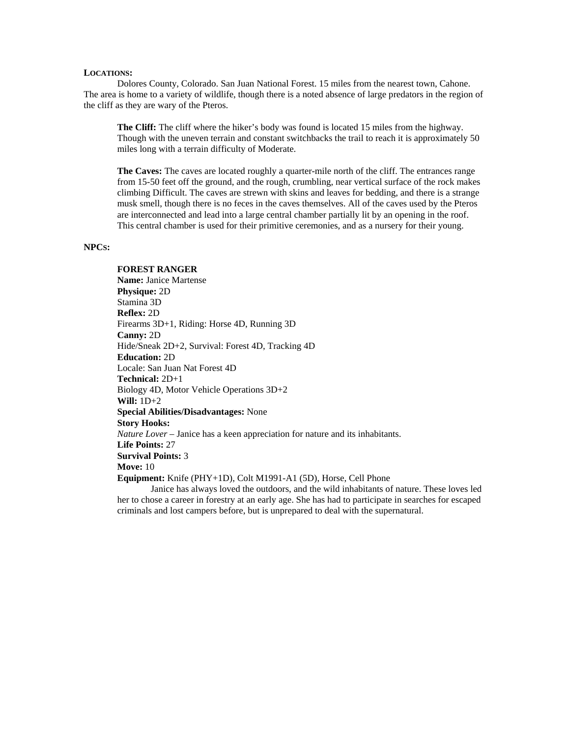#### **LOCATIONS:**

Dolores County, Colorado. San Juan National Forest. 15 miles from the nearest town, Cahone. The area is home to a variety of wildlife, though there is a noted absence of large predators in the region of the cliff as they are wary of the Pteros.

**The Cliff:** The cliff where the hiker's body was found is located 15 miles from the highway. Though with the uneven terrain and constant switchbacks the trail to reach it is approximately 50 miles long with a terrain difficulty of Moderate.

**The Caves:** The caves are located roughly a quarter-mile north of the cliff. The entrances range from 15-50 feet off the ground, and the rough, crumbling, near vertical surface of the rock makes climbing Difficult. The caves are strewn with skins and leaves for bedding, and there is a strange musk smell, though there is no feces in the caves themselves. All of the caves used by the Pteros are interconnected and lead into a large central chamber partially lit by an opening in the roof. This central chamber is used for their primitive ceremonies, and as a nursery for their young.

## **NPCS:**

# **FOREST RANGER**

**Name:** Janice Martense **Physique:** 2D Stamina 3D **Reflex:** 2D Firearms 3D+1, Riding: Horse 4D, Running 3D **Canny:** 2D Hide/Sneak 2D+2, Survival: Forest 4D, Tracking 4D **Education:** 2D Locale: San Juan Nat Forest 4D **Technical:** 2D+1 Biology 4D, Motor Vehicle Operations 3D+2 **Will:** 1D+2 **Special Abilities/Disadvantages:** None **Story Hooks:** *Nature Lover* – Janice has a keen appreciation for nature and its inhabitants. **Life Points:** 27 **Survival Points:** 3 **Move:** 10 **Equipment:** Knife (PHY+1D), Colt M1991-A1 (5D), Horse, Cell Phone Janice has always loved the outdoors, and the wild inhabitants of nature. These loves led

her to chose a career in forestry at an early age. She has had to participate in searches for escaped criminals and lost campers before, but is unprepared to deal with the supernatural.